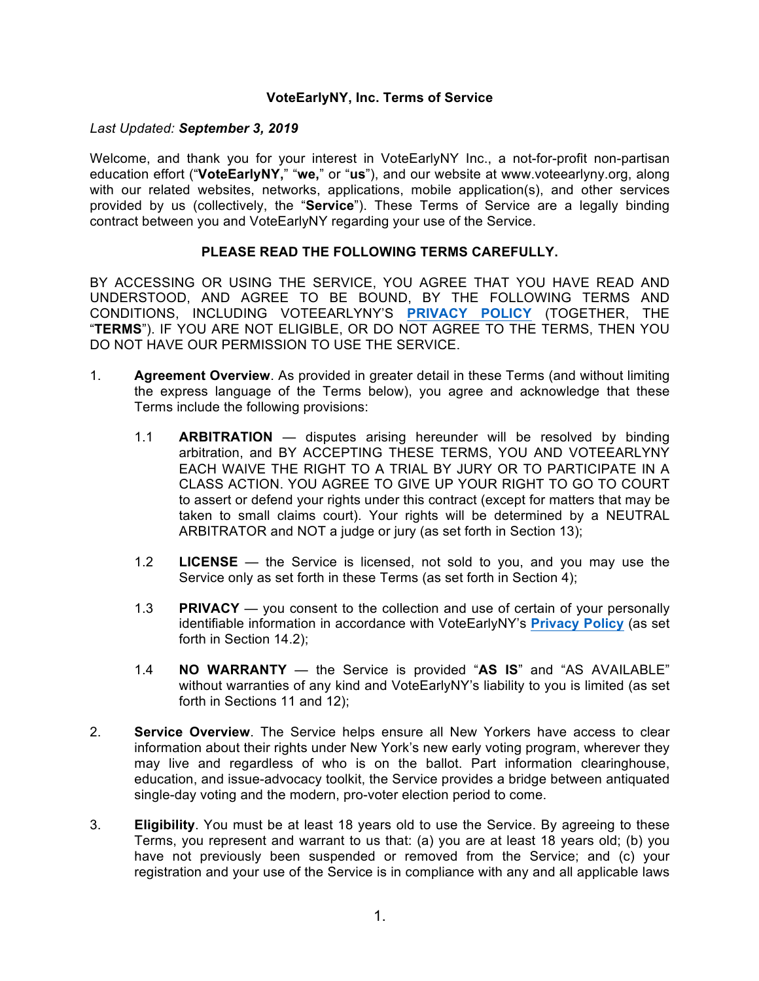#### **VoteEarlyNY, Inc. Terms of Service**

#### *Last Updated: September 3, 2019*

Welcome, and thank you for your interest in VoteEarlyNY Inc., a not-for-profit non-partisan education effort ("**VoteEarlyNY,**" "**we,**" or "**us**"), and our website at www.voteearlyny.org, along with our related websites, networks, applications, mobile application(s), and other services provided by us (collectively, the "**Service**"). These Terms of Service are a legally binding contract between you and VoteEarlyNY regarding your use of the Service.

# **PLEASE READ THE FOLLOWING TERMS CAREFULLY.**

BY ACCESSING OR USING THE SERVICE, YOU AGREE THAT YOU HAVE READ AND UNDERSTOOD, AND AGREE TO BE BOUND, BY THE FOLLOWING TERMS AND CONDITIONS, INCLUDING VOTEEARLYNY'S **[PRIVACY POLICY](https://www.voteearlyny.org/privacy-policy/)** (TOGETHER, THE "**TERMS**"). IF YOU ARE NOT ELIGIBLE, OR DO NOT AGREE TO THE TERMS, THEN YOU DO NOT HAVE OUR PERMISSION TO USE THE SERVICE.

- 1. **Agreement Overview**. As provided in greater detail in these Terms (and without limiting the express language of the Terms below), you agree and acknowledge that these Terms include the following provisions:
	- 1.1 **ARBITRATION** disputes arising hereunder will be resolved by binding arbitration, and BY ACCEPTING THESE TERMS, YOU AND VOTEEARLYNY EACH WAIVE THE RIGHT TO A TRIAL BY JURY OR TO PARTICIPATE IN A CLASS ACTION. YOU AGREE TO GIVE UP YOUR RIGHT TO GO TO COURT to assert or defend your rights under this contract (except for matters that may be taken to small claims court). Your rights will be determined by a NEUTRAL ARBITRATOR and NOT a judge or jury (as set forth in Section [13](#page-5-0));
	- 1.2 **LICENSE** the Service is licensed, not sold to you, and you may use the Service only as set forth in these Terms (as set forth in Section [4](#page-1-0));
	- 1.3 **PRIVACY**  you consent to the collection and use of certain of your personally identifiable information in accordance with VoteEarlyNY's **[Privacy Policy](https://www.voteearlyny.org/privacy-policy/)** (as set forth in Section [14.2](#page-7-0));
	- 1.4 **NO WARRANTY**  the Service is provided "**AS IS**" and "AS AVAILABLE" without warranties of any kind and VoteEarlyNY's liability to you is limited (as set forth in Sections [11](#page-3-0) and [12](#page-4-0));
- 2. **Service Overview**. The Service helps ensure all New Yorkers have access to clear information about their rights under New York's new early voting program, wherever they may live and regardless of who is on the ballot. Part information clearinghouse, education, and issue-advocacy toolkit, the Service provides a bridge between antiquated single-day voting and the modern, pro-voter election period to come.
- 3. **Eligibility**. You must be at least 18 years old to use the Service. By agreeing to these Terms, you represent and warrant to us that: (a) you are at least 18 years old; (b) you have not previously been suspended or removed from the Service; and (c) your registration and your use of the Service is in compliance with any and all applicable laws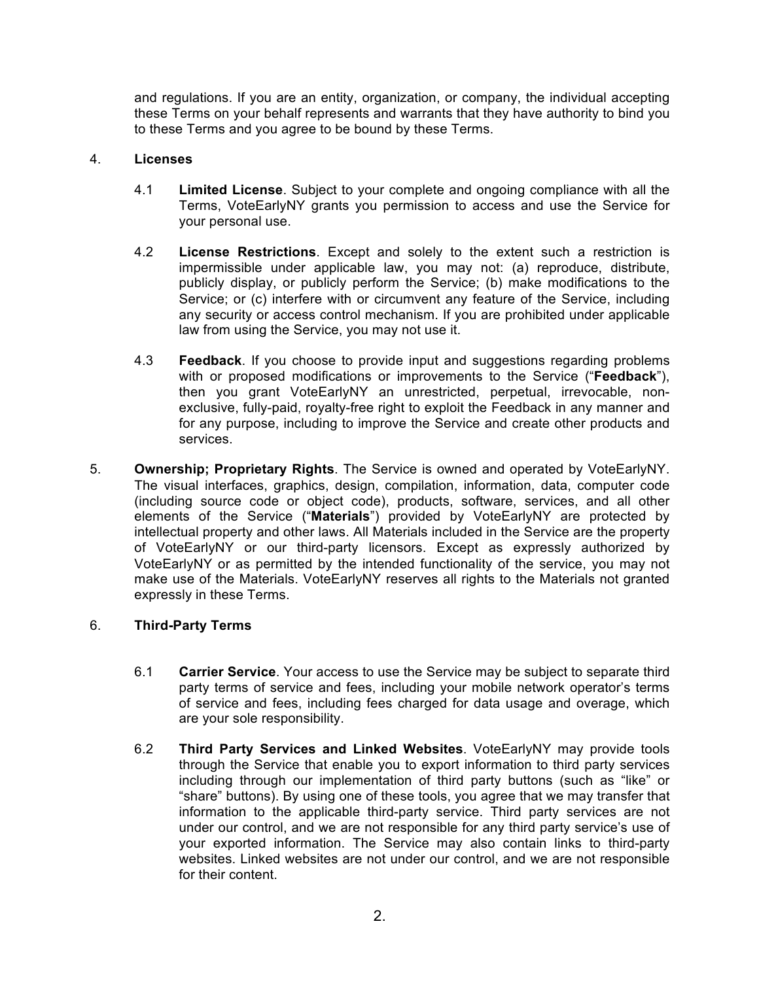and regulations. If you are an entity, organization, or company, the individual accepting these Terms on your behalf represents and warrants that they have authority to bind you to these Terms and you agree to be bound by these Terms.

### 4. **Licenses**

- <span id="page-1-0"></span>4.1 **Limited License**. Subject to your complete and ongoing compliance with all the Terms, VoteEarlyNY grants you permission to access and use the Service for your personal use.
- 4.2 **License Restrictions**. Except and solely to the extent such a restriction is impermissible under applicable law, you may not: (a) reproduce, distribute, publicly display, or publicly perform the Service; (b) make modifications to the Service; or (c) interfere with or circumvent any feature of the Service, including any security or access control mechanism. If you are prohibited under applicable law from using the Service, you may not use it.
- <span id="page-1-2"></span>4.3 **Feedback**. If you choose to provide input and suggestions regarding problems with or proposed modifications or improvements to the Service ("**Feedback**"), then you grant VoteEarlyNY an unrestricted, perpetual, irrevocable, nonexclusive, fully-paid, royalty-free right to exploit the Feedback in any manner and for any purpose, including to improve the Service and create other products and services.
- <span id="page-1-1"></span>5. **Ownership; Proprietary Rights**. The Service is owned and operated by VoteEarlyNY. The visual interfaces, graphics, design, compilation, information, data, computer code (including source code or object code), products, software, services, and all other elements of the Service ("**Materials**") provided by VoteEarlyNY are protected by intellectual property and other laws. All Materials included in the Service are the property of VoteEarlyNY or our third-party licensors. Except as expressly authorized by VoteEarlyNY or as permitted by the intended functionality of the service, you may not make use of the Materials. VoteEarlyNY reserves all rights to the Materials not granted expressly in these Terms.

# 6. **Third-Party Terms**

- 6.1 **Carrier Service**. Your access to use the Service may be subject to separate third party terms of service and fees, including your mobile network operator's terms of service and fees, including fees charged for data usage and overage, which are your sole responsibility.
- 6.2 **Third Party Services and Linked Websites**. VoteEarlyNY may provide tools through the Service that enable you to export information to third party services including through our implementation of third party buttons (such as "like" or "share" buttons). By using one of these tools, you agree that we may transfer that information to the applicable third-party service. Third party services are not under our control, and we are not responsible for any third party service's use of your exported information. The Service may also contain links to third-party websites. Linked websites are not under our control, and we are not responsible for their content.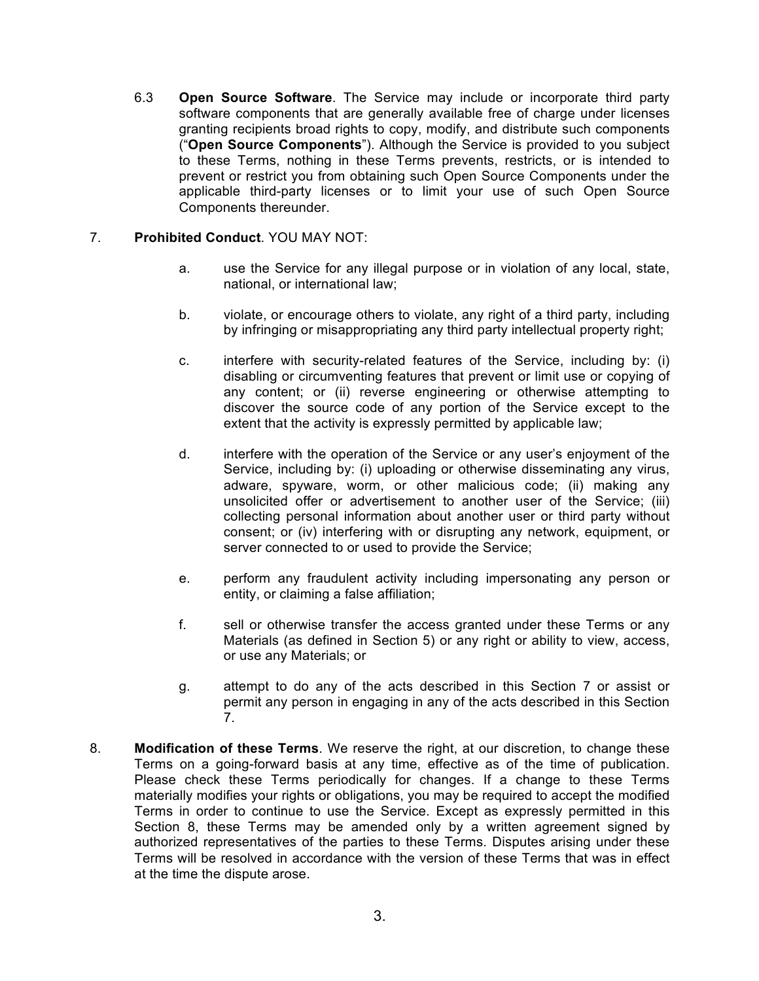6.3 **Open Source Software**. The Service may include or incorporate third party software components that are generally available free of charge under licenses granting recipients broad rights to copy, modify, and distribute such components ("**Open Source Components**"). Although the Service is provided to you subject to these Terms, nothing in these Terms prevents, restricts, or is intended to prevent or restrict you from obtaining such Open Source Components under the applicable third-party licenses or to limit your use of such Open Source Components thereunder.

# <span id="page-2-0"></span>7. **Prohibited Conduct**. YOU MAY NOT:

- a. use the Service for any illegal purpose or in violation of any local, state, national, or international law;
- b. violate, or encourage others to violate, any right of a third party, including by infringing or misappropriating any third party intellectual property right;
- c. interfere with security-related features of the Service, including by: (i) disabling or circumventing features that prevent or limit use or copying of any content; or (ii) reverse engineering or otherwise attempting to discover the source code of any portion of the Service except to the extent that the activity is expressly permitted by applicable law;
- d. interfere with the operation of the Service or any user's enjoyment of the Service, including by: (i) uploading or otherwise disseminating any virus, adware, spyware, worm, or other malicious code; (ii) making any unsolicited offer or advertisement to another user of the Service; (iii) collecting personal information about another user or third party without consent; or (iv) interfering with or disrupting any network, equipment, or server connected to or used to provide the Service;
- e. perform any fraudulent activity including impersonating any person or entity, or claiming a false affiliation;
- f. sell or otherwise transfer the access granted under these Terms or any Materials (as defined in Section [5](#page-1-1)) or any right or ability to view, access, or use any Materials; or
- g. attempt to do any of the acts described in this Section [7](#page-2-0) or assist or permit any person in engaging in any of the acts described in this Section [7](#page-2-0).
- <span id="page-2-1"></span>8. **Modification of these Terms**. We reserve the right, at our discretion, to change these Terms on a going-forward basis at any time, effective as of the time of publication. Please check these Terms periodically for changes. If a change to these Terms materially modifies your rights or obligations, you may be required to accept the modified Terms in order to continue to use the Service. Except as expressly permitted in this Section [8](#page-2-1), these Terms may be amended only by a written agreement signed by authorized representatives of the parties to these Terms. Disputes arising under these Terms will be resolved in accordance with the version of these Terms that was in effect at the time the dispute arose.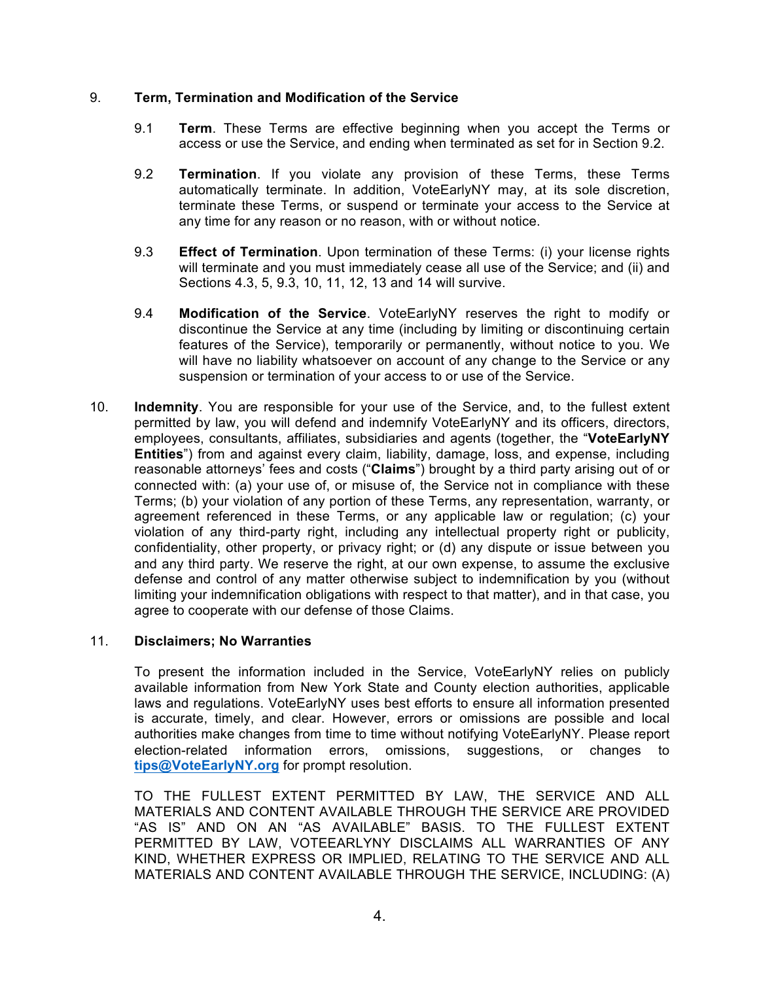### 9. **Term, Termination and Modification of the Service**

- 9.1 **Term**. These Terms are effective beginning when you accept the Terms or access or use the Service, and ending when terminated as set for in Section [9.2](#page-3-1).
- <span id="page-3-1"></span>9.2 **Termination**. If you violate any provision of these Terms, these Terms automatically terminate. In addition, VoteEarlyNY may, at its sole discretion, terminate these Terms, or suspend or terminate your access to the Service at any time for any reason or no reason, with or without notice.
- <span id="page-3-2"></span>9.3 **Effect of Termination**. Upon termination of these Terms: (i) your license rights will terminate and you must immediately cease all use of the Service; and (ii) and Sections [4.3](#page-1-2), [5](#page-1-1), [9.3](#page-3-2), [10,](#page-3-3) [11](#page-3-0), [12](#page-4-0), [13](#page-5-0) and [14](#page-6-0) will survive.
- 9.4 **Modification of the Service**. VoteEarlyNY reserves the right to modify or discontinue the Service at any time (including by limiting or discontinuing certain features of the Service), temporarily or permanently, without notice to you. We will have no liability whatsoever on account of any change to the Service or any suspension or termination of your access to or use of the Service.
- <span id="page-3-3"></span>10. **Indemnity**. You are responsible for your use of the Service, and, to the fullest extent permitted by law, you will defend and indemnify VoteEarlyNY and its officers, directors, employees, consultants, affiliates, subsidiaries and agents (together, the "**VoteEarlyNY Entities**") from and against every claim, liability, damage, loss, and expense, including reasonable attorneys' fees and costs ("**Claims**") brought by a third party arising out of or connected with: (a) your use of, or misuse of, the Service not in compliance with these Terms; (b) your violation of any portion of these Terms, any representation, warranty, or agreement referenced in these Terms, or any applicable law or regulation; (c) your violation of any third-party right, including any intellectual property right or publicity, confidentiality, other property, or privacy right; or (d) any dispute or issue between you and any third party. We reserve the right, at our own expense, to assume the exclusive defense and control of any matter otherwise subject to indemnification by you (without limiting your indemnification obligations with respect to that matter), and in that case, you agree to cooperate with our defense of those Claims.

# 11. **Disclaimers; No Warranties**

<span id="page-3-0"></span>To present the information included in the Service, VoteEarlyNY relies on publicly available information from New York State and County election authorities, applicable laws and regulations. VoteEarlyNY uses best efforts to ensure all information presented is accurate, timely, and clear. However, errors or omissions are possible and local authorities make changes from time to time without notifying VoteEarlyNY. Please report election-related information errors, omissions, suggestions, or changes to **[tips@VoteEarlyNY.org](mailto:tips@VoteEarlyNY.org)** for prompt resolution.

TO THE FULLEST EXTENT PERMITTED BY LAW, THE SERVICE AND ALL MATERIALS AND CONTENT AVAILABLE THROUGH THE SERVICE ARE PROVIDED "AS IS" AND ON AN "AS AVAILABLE" BASIS. TO THE FULLEST EXTENT PERMITTED BY LAW, VOTEEARLYNY DISCLAIMS ALL WARRANTIES OF ANY KIND, WHETHER EXPRESS OR IMPLIED, RELATING TO THE SERVICE AND ALL MATERIALS AND CONTENT AVAILABLE THROUGH THE SERVICE, INCLUDING: (A)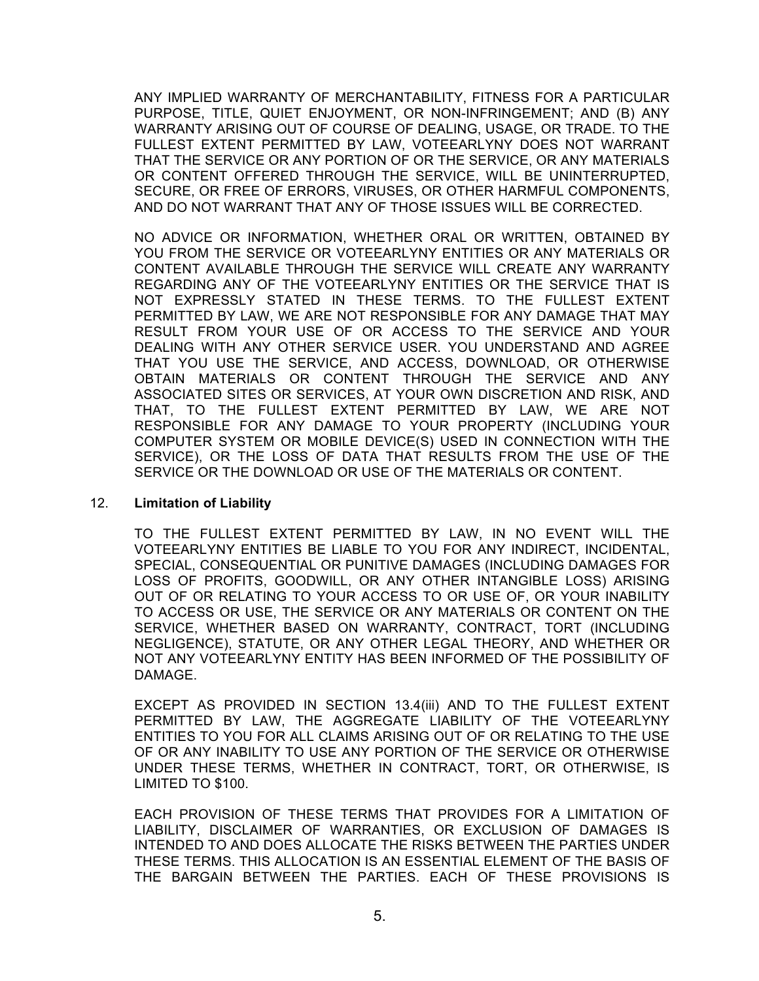ANY IMPLIED WARRANTY OF MERCHANTABILITY, FITNESS FOR A PARTICULAR PURPOSE, TITLE, QUIET ENJOYMENT, OR NON-INFRINGEMENT; AND (B) ANY WARRANTY ARISING OUT OF COURSE OF DEALING, USAGE, OR TRADE. TO THE FULLEST EXTENT PERMITTED BY LAW, VOTEEARLYNY DOES NOT WARRANT THAT THE SERVICE OR ANY PORTION OF OR THE SERVICE, OR ANY MATERIALS OR CONTENT OFFERED THROUGH THE SERVICE, WILL BE UNINTERRUPTED, SECURE, OR FREE OF ERRORS, VIRUSES, OR OTHER HARMFUL COMPONENTS, AND DO NOT WARRANT THAT ANY OF THOSE ISSUES WILL BE CORRECTED.

NO ADVICE OR INFORMATION, WHETHER ORAL OR WRITTEN, OBTAINED BY YOU FROM THE SERVICE OR VOTEEARLYNY ENTITIES OR ANY MATERIALS OR CONTENT AVAILABLE THROUGH THE SERVICE WILL CREATE ANY WARRANTY REGARDING ANY OF THE VOTEEARLYNY ENTITIES OR THE SERVICE THAT IS NOT EXPRESSLY STATED IN THESE TERMS. TO THE FULLEST EXTENT PERMITTED BY LAW, WE ARE NOT RESPONSIBLE FOR ANY DAMAGE THAT MAY RESULT FROM YOUR USE OF OR ACCESS TO THE SERVICE AND YOUR DEALING WITH ANY OTHER SERVICE USER. YOU UNDERSTAND AND AGREE THAT YOU USE THE SERVICE, AND ACCESS, DOWNLOAD, OR OTHERWISE OBTAIN MATERIALS OR CONTENT THROUGH THE SERVICE AND ANY ASSOCIATED SITES OR SERVICES, AT YOUR OWN DISCRETION AND RISK, AND THAT, TO THE FULLEST EXTENT PERMITTED BY LAW, WE ARE NOT RESPONSIBLE FOR ANY DAMAGE TO YOUR PROPERTY (INCLUDING YOUR COMPUTER SYSTEM OR MOBILE DEVICE(S) USED IN CONNECTION WITH THE SERVICE), OR THE LOSS OF DATA THAT RESULTS FROM THE USE OF THE SERVICE OR THE DOWNLOAD OR USE OF THE MATERIALS OR CONTENT.

#### 12. **Limitation of Liability**

<span id="page-4-0"></span>TO THE FULLEST EXTENT PERMITTED BY LAW, IN NO EVENT WILL THE VOTEEARLYNY ENTITIES BE LIABLE TO YOU FOR ANY INDIRECT, INCIDENTAL, SPECIAL, CONSEQUENTIAL OR PUNITIVE DAMAGES (INCLUDING DAMAGES FOR LOSS OF PROFITS, GOODWILL, OR ANY OTHER INTANGIBLE LOSS) ARISING OUT OF OR RELATING TO YOUR ACCESS TO OR USE OF, OR YOUR INABILITY TO ACCESS OR USE, THE SERVICE OR ANY MATERIALS OR CONTENT ON THE SERVICE, WHETHER BASED ON WARRANTY, CONTRACT, TORT (INCLUDING NEGLIGENCE), STATUTE, OR ANY OTHER LEGAL THEORY, AND WHETHER OR NOT ANY VOTEEARLYNY ENTITY HAS BEEN INFORMED OF THE POSSIBILITY OF DAMAGE.

EXCEPT AS PROVIDED IN SECTION [13.4](#page-5-1)(iii) AND TO THE FULLEST EXTENT PERMITTED BY LAW, THE AGGREGATE LIABILITY OF THE VOTEEARLYNY ENTITIES TO YOU FOR ALL CLAIMS ARISING OUT OF OR RELATING TO THE USE OF OR ANY INABILITY TO USE ANY PORTION OF THE SERVICE OR OTHERWISE UNDER THESE TERMS, WHETHER IN CONTRACT, TORT, OR OTHERWISE, IS LIMITED TO \$100.

EACH PROVISION OF THESE TERMS THAT PROVIDES FOR A LIMITATION OF LIABILITY, DISCLAIMER OF WARRANTIES, OR EXCLUSION OF DAMAGES IS INTENDED TO AND DOES ALLOCATE THE RISKS BETWEEN THE PARTIES UNDER THESE TERMS. THIS ALLOCATION IS AN ESSENTIAL ELEMENT OF THE BASIS OF THE BARGAIN BETWEEN THE PARTIES. EACH OF THESE PROVISIONS IS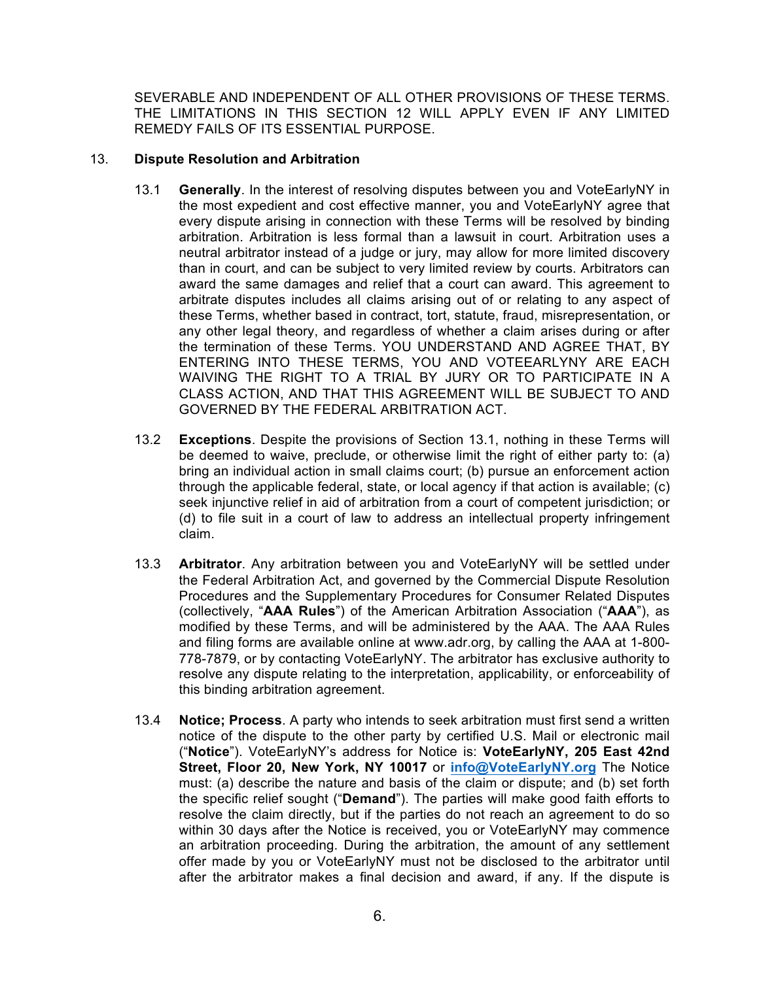SEVERABLE AND INDEPENDENT OF ALL OTHER PROVISIONS OF THESE TERMS. THE LIMITATIONS IN THIS SECTION [12](#page-4-0) WILL APPLY EVEN IF ANY LIMITED REMEDY FAILS OF ITS ESSENTIAL PURPOSE.

### 13. **Dispute Resolution and Arbitration**

- <span id="page-5-2"></span><span id="page-5-0"></span>13.1 **Generally**. In the interest of resolving disputes between you and VoteEarlyNY in the most expedient and cost effective manner, you and VoteEarlyNY agree that every dispute arising in connection with these Terms will be resolved by binding arbitration. Arbitration is less formal than a lawsuit in court. Arbitration uses a neutral arbitrator instead of a judge or jury, may allow for more limited discovery than in court, and can be subject to very limited review by courts. Arbitrators can award the same damages and relief that a court can award. This agreement to arbitrate disputes includes all claims arising out of or relating to any aspect of these Terms, whether based in contract, tort, statute, fraud, misrepresentation, or any other legal theory, and regardless of whether a claim arises during or after the termination of these Terms. YOU UNDERSTAND AND AGREE THAT, BY ENTERING INTO THESE TERMS, YOU AND VOTEEARLYNY ARE EACH WAIVING THE RIGHT TO A TRIAL BY JURY OR TO PARTICIPATE IN A CLASS ACTION, AND THAT THIS AGREEMENT WILL BE SUBJECT TO AND GOVERNED BY THE FEDERAL ARBITRATION ACT.
- 13.2 **Exceptions**. Despite the provisions of Section [13.1](#page-5-2), nothing in these Terms will be deemed to waive, preclude, or otherwise limit the right of either party to: (a) bring an individual action in small claims court; (b) pursue an enforcement action through the applicable federal, state, or local agency if that action is available; (c) seek injunctive relief in aid of arbitration from a court of competent jurisdiction; or (d) to file suit in a court of law to address an intellectual property infringement claim.
- 13.3 **Arbitrator**. Any arbitration between you and VoteEarlyNY will be settled under the Federal Arbitration Act, and governed by the Commercial Dispute Resolution Procedures and the Supplementary Procedures for Consumer Related Disputes (collectively, "**AAA Rules**") of the American Arbitration Association ("**AAA**"), as modified by these Terms, and will be administered by the AAA. The AAA Rules and filing forms are available online at www.adr.org, by calling the AAA at 1-800- 778-7879, or by contacting VoteEarlyNY. The arbitrator has exclusive authority to resolve any dispute relating to the interpretation, applicability, or enforceability of this binding arbitration agreement.
- <span id="page-5-1"></span>13.4 **Notice; Process**. A party who intends to seek arbitration must first send a written notice of the dispute to the other party by certified U.S. Mail or electronic mail ("**Notice**"). VoteEarlyNY's address for Notice is: **VoteEarlyNY, 205 East 42nd Street, Floor 20, New York, NY 10017** or **[info@VoteEarlyNY.org](mailto:info@VoteEarlyNY.org)** The Notice must: (a) describe the nature and basis of the claim or dispute; and (b) set forth the specific relief sought ("**Demand**"). The parties will make good faith efforts to resolve the claim directly, but if the parties do not reach an agreement to do so within 30 days after the Notice is received, you or VoteEarlyNY may commence an arbitration proceeding. During the arbitration, the amount of any settlement offer made by you or VoteEarlyNY must not be disclosed to the arbitrator until after the arbitrator makes a final decision and award, if any. If the dispute is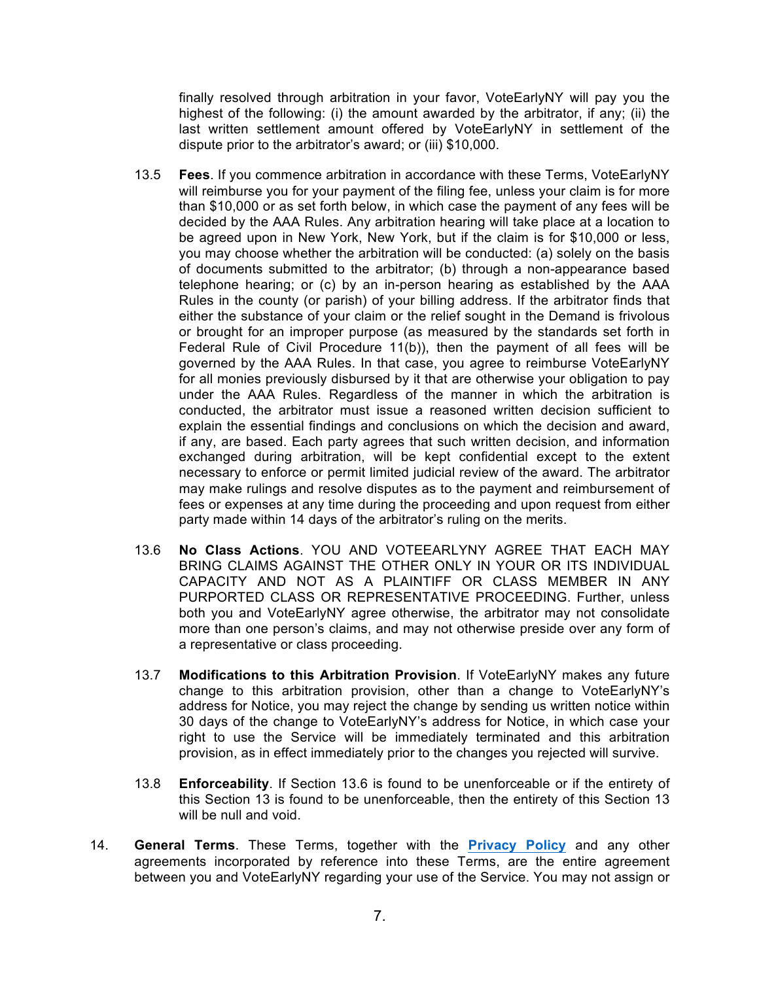finally resolved through arbitration in your favor, VoteEarlyNY will pay you the highest of the following: (i) the amount awarded by the arbitrator, if any; (ii) the last written settlement amount offered by VoteEarlyNY in settlement of the dispute prior to the arbitrator's award; or (iii) \$10,000.

- 13.5 **Fees**. If you commence arbitration in accordance with these Terms, VoteEarlyNY will reimburse you for your payment of the filing fee, unless your claim is for more than \$10,000 or as set forth below, in which case the payment of any fees will be decided by the AAA Rules. Any arbitration hearing will take place at a location to be agreed upon in New York, New York, but if the claim is for \$10,000 or less, you may choose whether the arbitration will be conducted: (a) solely on the basis of documents submitted to the arbitrator; (b) through a non-appearance based telephone hearing; or (c) by an in-person hearing as established by the AAA Rules in the county (or parish) of your billing address. If the arbitrator finds that either the substance of your claim or the relief sought in the Demand is frivolous or brought for an improper purpose (as measured by the standards set forth in Federal Rule of Civil Procedure 11(b)), then the payment of all fees will be governed by the AAA Rules. In that case, you agree to reimburse VoteEarlyNY for all monies previously disbursed by it that are otherwise your obligation to pay under the AAA Rules. Regardless of the manner in which the arbitration is conducted, the arbitrator must issue a reasoned written decision sufficient to explain the essential findings and conclusions on which the decision and award, if any, are based. Each party agrees that such written decision, and information exchanged during arbitration, will be kept confidential except to the extent necessary to enforce or permit limited judicial review of the award. The arbitrator may make rulings and resolve disputes as to the payment and reimbursement of fees or expenses at any time during the proceeding and upon request from either party made within 14 days of the arbitrator's ruling on the merits.
- <span id="page-6-1"></span>13.6 **No Class Actions**. YOU AND VOTEEARLYNY AGREE THAT EACH MAY BRING CLAIMS AGAINST THE OTHER ONLY IN YOUR OR ITS INDIVIDUAL CAPACITY AND NOT AS A PLAINTIFF OR CLASS MEMBER IN ANY PURPORTED CLASS OR REPRESENTATIVE PROCEEDING. Further, unless both you and VoteEarlyNY agree otherwise, the arbitrator may not consolidate more than one person's claims, and may not otherwise preside over any form of a representative or class proceeding.
- 13.7 **Modifications to this Arbitration Provision**. If VoteEarlyNY makes any future change to this arbitration provision, other than a change to VoteEarlyNY's address for Notice, you may reject the change by sending us written notice within 30 days of the change to VoteEarlyNY's address for Notice, in which case your right to use the Service will be immediately terminated and this arbitration provision, as in effect immediately prior to the changes you rejected will survive.
- 13.8 **Enforceability**. If Section [13.6](#page-6-1) is found to be unenforceable or if the entirety of this Section [13](#page-5-0) is found to be unenforceable, then the entirety of this Section [13](#page-5-0) will be null and void.
- <span id="page-6-0"></span>14. **General Terms**. These Terms, together with the **[Privacy Policy](https://www.voteearlyny.org/privacy-policy/)** and any other agreements incorporated by reference into these Terms, are the entire agreement between you and VoteEarlyNY regarding your use of the Service. You may not assign or